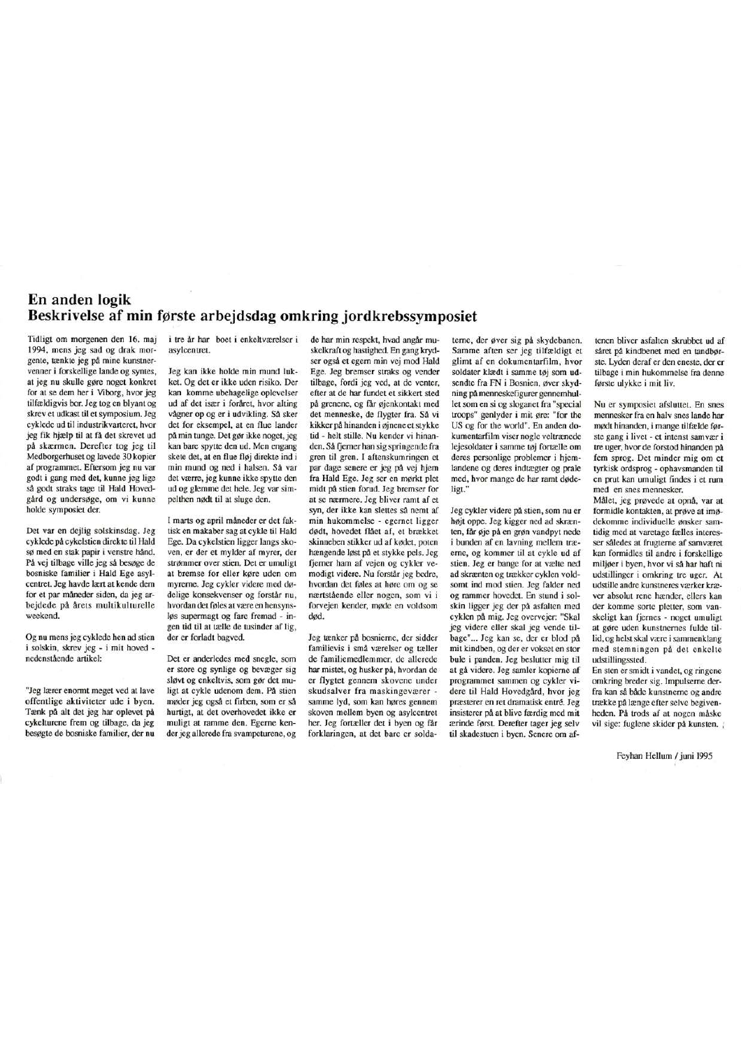## En anden logik Beskrivelse af min første arbejdsdag omkring jordkrebssymposiet

Tidligt om morgenen den 16. maj 1994, mens jeg sad og drak morgente, tænkte jeg på mine kunstnervenner i forskellige lande og syntes, at jeg nu skulle gøre noget konkret for at se dem her i Viborg, hvor jeg tilfældigvis bor. Jeg tog en blyant og skrev et udkast til et symposium. Jeg cyklede ud til industrikvarteret, hvor jeg fik higeln til at få det skrevet nd på skærmen. Derefter tog jeg til Medborgerhuset og lavede 30 kopier af programmet. Eftersom jeg nu var godt i gang med det, kunne jeg lige så godt straks tage til Hald Hovedgård og undersøge, om vi kunne holde symposiet der.

Det var en dejlig solskinsdag. Jeg cyklede på cykelstien direkte til Hald sø med en stak papir i venstre hånd. På vej tilbage ville jeg så besøge de bosniske familier i Hald Ege asylcentret. Jeg havde lært at kende dem for et par måneder siden, da jeg arbejdede på årets multikulturelle weekend.

Og nu mens jeg cyklede hen ad stien i solskin, skrev jeg - i mit hoved nedenstående artikel:

"Jeg lærer enormt meget ved at lave offentlige aktiviteter ude i byen. Tænk på alt det jeg har oplevet på cykelturene frem og tilbage, da jeg besøgte de bosniske familier, der nu i tre år har boet i enkeltværelser i asylcentret.

Jeg kan ikke holde min mund lukket. Og det er ikke uden risiko. Der kan komme ubehagelige oplevelser ud af det især i foråret, hvor alting vågner op og er i udvikling. Så sker det for eksempel, at en flue lander nå min tunge. Det gør ikke noget, jeg kan bare spytte den ud. Men engang skete det, at en flue fløj direkte ind i min mund og ned i halsen. Så var det værre, jeg kunne ikke spytte den ud og glemme det hele. Jeg var simpelthen nødt til at sluge den.

I marts og april måneder er det faktisk en makaber sag at cykle til Hald Ege. Da cykelstien ligger langs skoven, er der et mylder af myrer, der strømmer over stien. Det er umuligt at bremse for eller køre uden om myrerne. Jeg cykler videre med dødelige konsekvenser og forstår nu, hvordan det føles at være en hensynsløs supermagt og fare fremad - ingen tid til at tælle de tusinder af lig, der er forladt bagved.

Det er anderledes med snegle, som er store og synlige og bevæger sig sløvt og enkeltvis, som gør det muligt at cykle udenom dem. På stien møder jeg også et firben, som er så hurtigt, at det overhovedet ikke er muligt at ramme den. Egerne kender jeg allerede fra svampeturene, og

de har min respekt, hvad angår muskelkraft og hastighed. En gang krydser også et egern min vej mod Hald Ege. Jeg bremser straks og vender tilbage, fordi jeg ved, at de venter, efter at de har fundet et sikkert sted på grenene, og får øjenkontakt med det menneske, de flygter fra. Så vi kikker på hinanden i øjnene et stykke tid - helt stille. Nu kender vi hinanden. Så fjerner han sig springende fra gren til gren. I aftenskumringen et par dage senere er jeg på vej hjem fra Hald Ege. Jeg ser en mørkt plet midt på stien forud. Jeg bremser for at se nærmere. Jeg bliver ramt af et syn, der ikke kan slettes så nemt af min hukommelse - egernet ligger dødt, hovedet flået af, et brækket skinneben stikker ud af kødet, poten hængende løst på et stykke pels. Jeg fjerner ham af vejen og cykler vemodigt videre. Nu forstår jeg bedre, hvordan det føles at høre om og se nærtstående eller nogen, som vi i forvejen kender, møde en voldsom

Jeg tænker på bosnierne, der sidder familievis i små værelser og tæller de familiemedlemmer, de allerede har mistet, og husker på, hvordan de er flygtet gennem skovene under skudsalver fra maskingeværer samme lyd, som kan høres gennem skoven mellem byen og asylcentret her. Jeg fortæller det i byen og får forklaringen, at det bare er solda-

terne, der øver sig på skydebanen. Samme aften ser jeg tilfældigt et glimt af en dokumentarfilm, hvor soldater klædt i samme tøj som udsendte fra FN i Bosnien, øver skydning på menneskefigurer gennemhullet som en si og sloganet fra "special troops" genlyder i mit øre: "for the US og for the world". En anden dokumentarfilm viser nogle veltrænede lejesoldater i samme tøj fortælle om deres personlige problemer i hjemlandene og deres indtægter og prale med, hvor mange de har ramt dødeligt.

Jeg cykler videre på stien, som nu er højt oppe. Jeg kigger ned ad skrænten, får øje på en grøn vandpyt nede i bunden af en lavning mellem træerne, og kommer til at cykle ud af stien. Jeg er bange for at vælte ned ad skrænten og trækker cyklen voldsomt ind mod stien. Jeg falder ned og rammer hovedet. En stund i solskin ligger jeg der på asfalten med cyklen på mig. Jeg overvejer: "Skal jeg videre eller skal jeg vende tilbage"... Jeg kan se, der er blod på mit kindben, og der er vokset en stor bule i panden. Jeg beslutter mig til at gå videre. Jeg samler kopierne af programmet sammen og cykler videre til Hald Hovedgård, hvor jeg præsterer en ret dramatisk entré. Jeg insisterer på at blive færdig med mit ærinde først. Derefter tager jeg selv til skadestuen i byen. Senere om aftenen bliver asfalten skrubbet ud af såret på kindbenet med en tandbørste. Lyden deraf er den eneste, der er tilbage i min hukommelse fra denne første ulykke i mit liv.

Nu er symposiet afsluttet. En snes mennesker fra en halv snes lande har mødt hinanden, i mange tilfælde første gang i livet - et intenst samvær i tre uger, hvor de forstod hinanden på fem sprog. Det minder mig om et tyrkisk ordsprog - ophavsmanden til en prut kan umuligt findes i et rum med en snes mennesker.

Målet, jeg prøvede at opnå, var at formidle kontakten, at prøve at imødekomme individuelle ønsker samtidig med at varetage fælles interesser således at frugterne af samværet kan formidles til andre i forskellige miljøer i byen, hvor vi så har haft ni udstillinger i omkring tre uger. At udstille andre kunstneres værker kræver absolut rene hænder, ellers kan der komme sorte pletter, som vanskeligt kan fiernes - noget umuligt at gøre uden kunstnernes fulde tillid. og helst skal være i sammenklang med stemningen på det enkelte udstillingssted.

En sten er smidt i vandet, og ringene omkring breder sig. Impulserne derfra kan så både kunstnerne og andre trække på længe efter selve begivenheden. På trods af at nogen måske vil sige: fuglene skider på kunsten.

Feyhan Hellum / juni 1995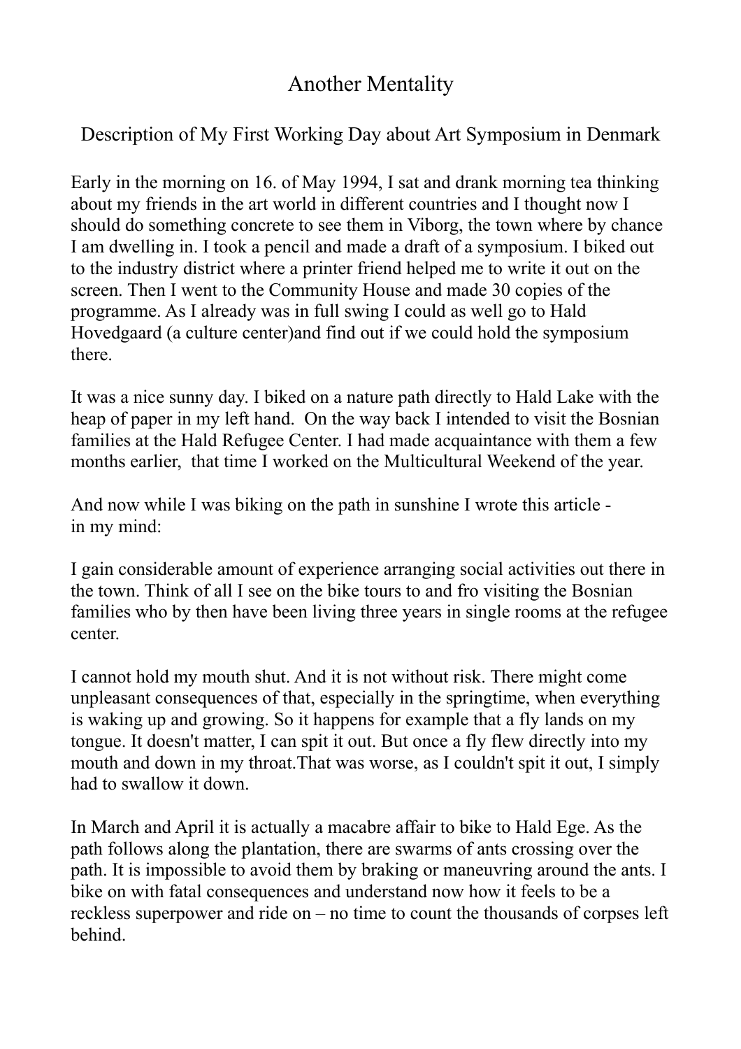## Another Mentality

## Description of My First Working Day about Art Symposium in Denmark

Early in the morning on 16. of May 1994, I sat and drank morning tea thinking about my friends in the art world in different countries and I thought now I should do something concrete to see them in Viborg, the town where by chance I am dwelling in. I took a pencil and made a draft of a symposium. I biked out to the industry district where a printer friend helped me to write it out on the screen. Then I went to the Community House and made 30 copies of the programme. As I already was in full swing I could as well go to Hald Hovedgaard (a culture center)and find out if we could hold the symposium there.

It was a nice sunny day. I biked on a nature path directly to Hald Lake with the heap of paper in my left hand. On the way back I intended to visit the Bosnian families at the Hald Refugee Center. I had made acquaintance with them a few months earlier, that time I worked on the Multicultural Weekend of the year.

And now while I was biking on the path in sunshine I wrote this article in my mind:

I gain considerable amount of experience arranging social activities out there in the town. Think of all I see on the bike tours to and fro visiting the Bosnian families who by then have been living three years in single rooms at the refugee center.

I cannot hold my mouth shut. And it is not without risk. There might come unpleasant consequences of that, especially in the springtime, when everything is waking up and growing. So it happens for example that a fly lands on my tongue. It doesn't matter, I can spit it out. But once a fly flew directly into my mouth and down in my throat.That was worse, as I couldn't spit it out, I simply had to swallow it down.

In March and April it is actually a macabre affair to bike to Hald Ege. As the path follows along the plantation, there are swarms of ants crossing over the path. It is impossible to avoid them by braking or maneuvring around the ants. I bike on with fatal consequences and understand now how it feels to be a reckless superpower and ride on – no time to count the thousands of corpses left behind.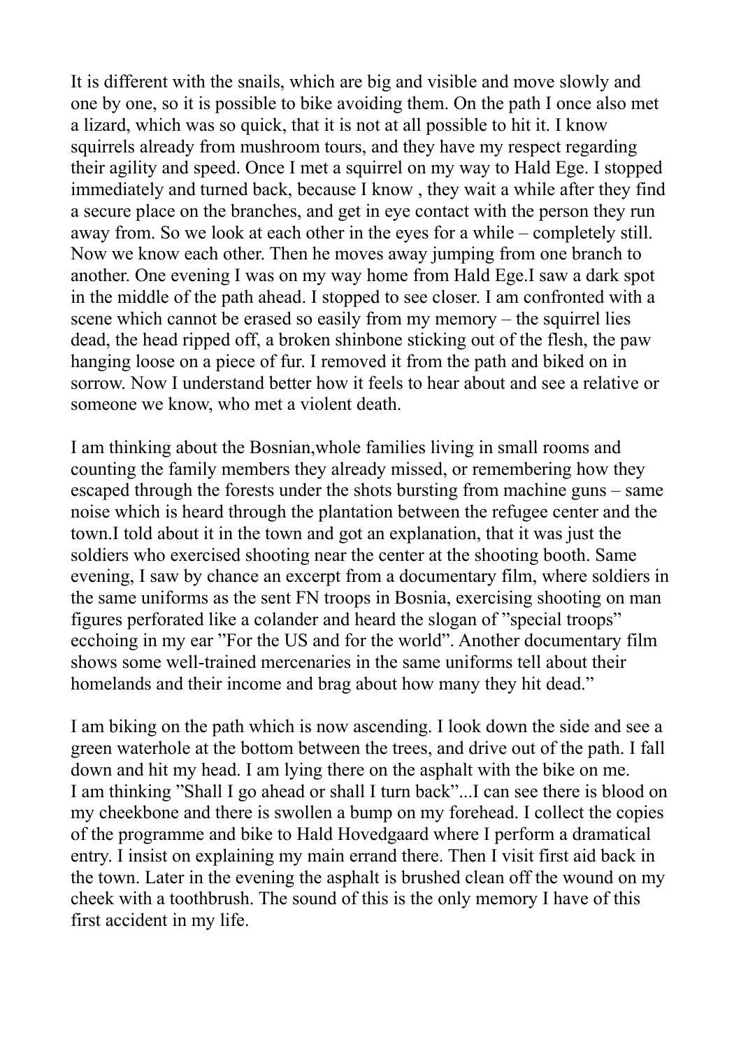It is different with the snails, which are big and visible and move slowly and one by one, so it is possible to bike avoiding them. On the path I once also met a lizard, which was so quick, that it is not at all possible to hit it. I know squirrels already from mushroom tours, and they have my respect regarding their agility and speed. Once I met a squirrel on my way to Hald Ege. I stopped immediately and turned back, because I know , they wait a while after they find a secure place on the branches, and get in eye contact with the person they run away from. So we look at each other in the eyes for a while – completely still. Now we know each other. Then he moves away jumping from one branch to another. One evening I was on my way home from Hald Ege.I saw a dark spot in the middle of the path ahead. I stopped to see closer. I am confronted with a scene which cannot be erased so easily from my memory – the squirrel lies dead, the head ripped off, a broken shinbone sticking out of the flesh, the paw hanging loose on a piece of fur. I removed it from the path and biked on in sorrow. Now I understand better how it feels to hear about and see a relative or someone we know, who met a violent death.

I am thinking about the Bosnian,whole families living in small rooms and counting the family members they already missed, or remembering how they escaped through the forests under the shots bursting from machine guns – same noise which is heard through the plantation between the refugee center and the town.I told about it in the town and got an explanation, that it was just the soldiers who exercised shooting near the center at the shooting booth. Same evening, I saw by chance an excerpt from a documentary film, where soldiers in the same uniforms as the sent FN troops in Bosnia, exercising shooting on man figures perforated like a colander and heard the slogan of "special troops" ecchoing in my ear "For the US and for the world". Another documentary film shows some well-trained mercenaries in the same uniforms tell about their homelands and their income and brag about how many they hit dead."

I am biking on the path which is now ascending. I look down the side and see a green waterhole at the bottom between the trees, and drive out of the path. I fall down and hit my head. I am lying there on the asphalt with the bike on me. I am thinking "Shall I go ahead or shall I turn back"...I can see there is blood on my cheekbone and there is swollen a bump on my forehead. I collect the copies of the programme and bike to Hald Hovedgaard where I perform a dramatical entry. I insist on explaining my main errand there. Then I visit first aid back in the town. Later in the evening the asphalt is brushed clean off the wound on my cheek with a toothbrush. The sound of this is the only memory I have of this first accident in my life.